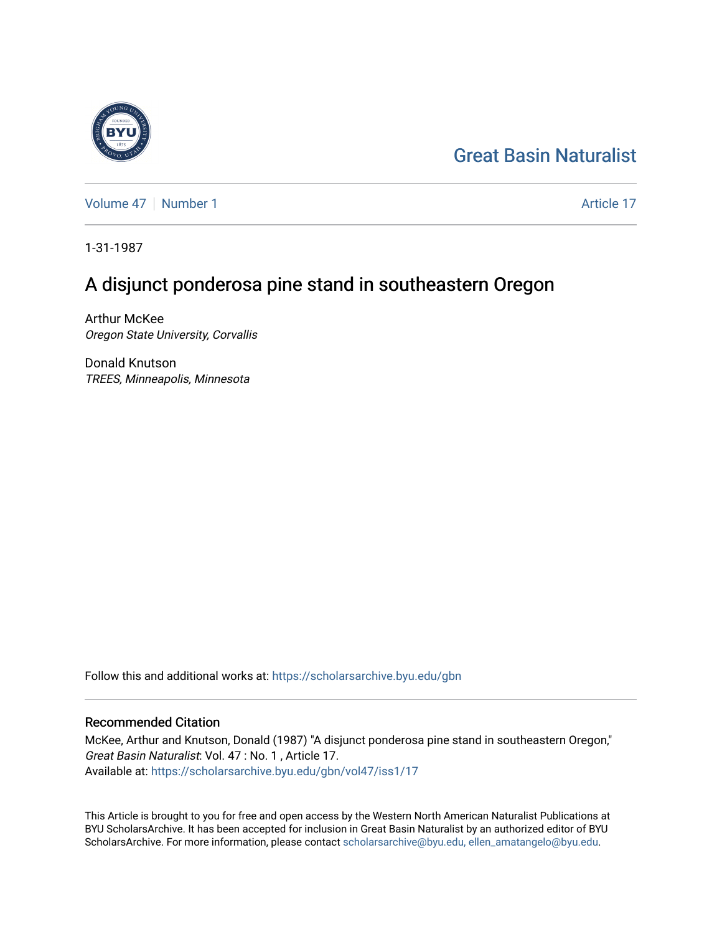# [Great Basin Naturalist](https://scholarsarchive.byu.edu/gbn)

[Volume 47](https://scholarsarchive.byu.edu/gbn/vol47) | [Number 1](https://scholarsarchive.byu.edu/gbn/vol47/iss1) [Article 17](https://scholarsarchive.byu.edu/gbn/vol47/iss1/17) | Article 17

1-31-1987

# A disjunct ponderosa pine stand in southeastern Oregon

Arthur McKee Oregon State University, Corvallis

Donald Knutson TREES, Minneapolis, Minnesota

Follow this and additional works at: [https://scholarsarchive.byu.edu/gbn](https://scholarsarchive.byu.edu/gbn?utm_source=scholarsarchive.byu.edu%2Fgbn%2Fvol47%2Fiss1%2F17&utm_medium=PDF&utm_campaign=PDFCoverPages) 

### Recommended Citation

McKee, Arthur and Knutson, Donald (1987) "A disjunct ponderosa pine stand in southeastern Oregon," Great Basin Naturalist: Vol. 47 : No. 1 , Article 17. Available at: [https://scholarsarchive.byu.edu/gbn/vol47/iss1/17](https://scholarsarchive.byu.edu/gbn/vol47/iss1/17?utm_source=scholarsarchive.byu.edu%2Fgbn%2Fvol47%2Fiss1%2F17&utm_medium=PDF&utm_campaign=PDFCoverPages) 

This Article is brought to you for free and open access by the Western North American Naturalist Publications at BYU ScholarsArchive. It has been accepted for inclusion in Great Basin Naturalist by an authorized editor of BYU ScholarsArchive. For more information, please contact [scholarsarchive@byu.edu, ellen\\_amatangelo@byu.edu.](mailto:scholarsarchive@byu.edu,%20ellen_amatangelo@byu.edu)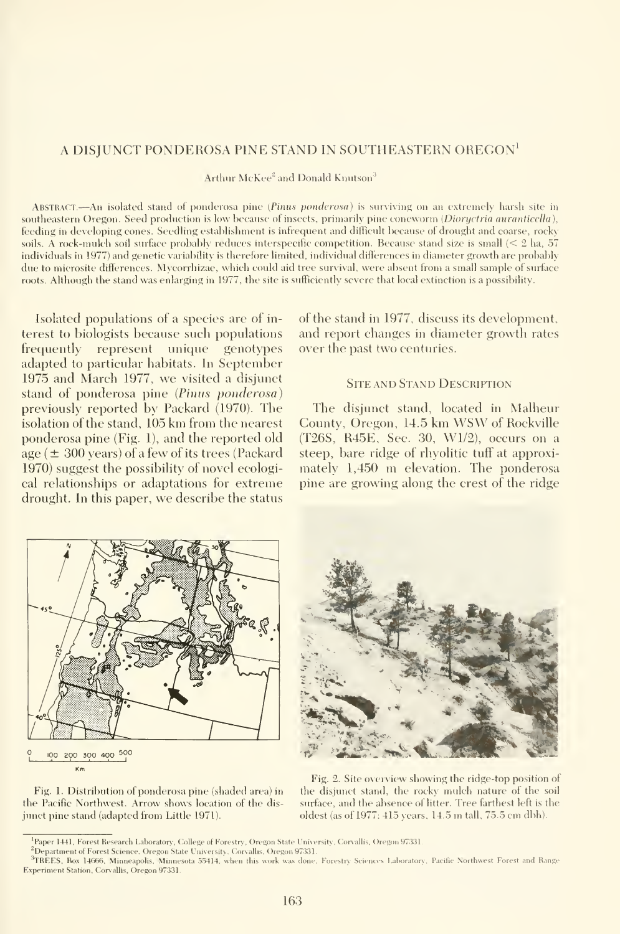### A DISJUNCT PONDEROSA PINE STAND IN SOUTHEASTERN OREGON'

Arthur McKee<sup>2</sup> and Donald Knutson<sup>3</sup>

Abstract.—An isolated stand of ponderosa pine {Pinus ponderosa) is surviving on an extremely harsh site in southeastern Oregon. Seed production is low because of insects, primarily pine coneworm (Dioructria auranticella), feeding in developing cones. Seedling establishment is infrequent and dilficult because of drought and coarse, rocky soils. A rock-mulch soil surface probably reduces interspecific competition. Because stand size is small (< 2 ha, 57 individuals in 1977) and genetic variability is therefore limited, individual differences in diameter growth are probably due to microsite differences. Mycorrhizae, which could aid tree survival, were absent from a small sample of surface roots. Although the stand was enlarging in 1977, the site is sufficiently severe that local extinction is a possibility.

Isolated populations of a species are of in terest to biologists because such populations frequently represent unique genotypes adapted to particular habitats. In September 1975 and March 1977, we visited <sup>a</sup> disjunct stand of ponderosa pine (Pinus ponderosa) previously reported by Packard (1970). The isolation of the stand, 105 km from the nearest ponderosa pine (Fig. 1), and the reported old age  $(\pm 300 \text{ years})$  of a few of its trees (Packard 1970) suggest the possibility of novel ecological relationships or adaptations for extreme drought. In this paper, we describe the status of the stand in 1977, discuss its development, and report changes in diameter growth rates over the past two centuries.

#### Site and Stand Description

The disjunct stand, located in Malheur Countv, Oregon, 14.5 km WSW of Rockville (T26S,' R45E, Sec. 30, Wl/2), occurs on a steep, bare ridge of rhyolitic tuff at approximately 1,450 m elevation. The ponderosa pine are growing along the crest of the ridge



Fig. 1. Distribution of ponderosa pine (shaded area) in the Pacific Northwest. Arrow shows location of the dis junct pine stand (adapted from Little 1971).



Fig. 2. Site overview showing the ridge-top position of the disjunct stand, the rocky mulch nature of the soil surface, and the absence of litter. Tree farthest left is the oldest (as of 1977: <sup>415</sup> years, 14.5 m tall, 75.5 cm dbh).

<sup>&</sup>lt;sup>1</sup>Paper 1441. Forest Research Laboratory, College of Forestry, Oregon State University, Corvallis, Oregon 97331.

<sup>&</sup>lt;sup>2</sup>Department of Forest Science, Oregon State University, Corvallis, Oregon 97331.

<sup>&</sup>lt;sup>3</sup>TREES, Box 14666, Minneapolis, Minnesota 55414; when this work was done. Forestry Sciences Laboratory, Pacific Northwest Forest and Range Experiment Station, Corvallis, Oregon 97331.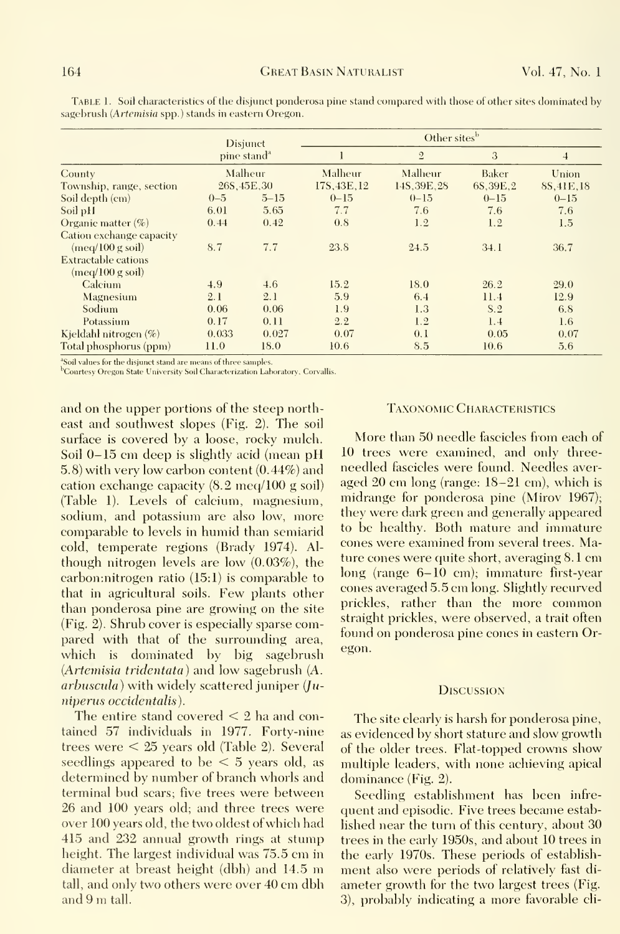|                            | <b>Disjunct</b>         |          | Other sites <sup>b</sup> |                |            |                         |  |  |  |  |  |  |
|----------------------------|-------------------------|----------|--------------------------|----------------|------------|-------------------------|--|--|--|--|--|--|
|                            | pine stand <sup>a</sup> |          |                          | $\overline{2}$ | 3          | $\overline{4}$<br>Union |  |  |  |  |  |  |
| County                     | Malheur                 |          | Malheur                  | Malheur        | Baker      |                         |  |  |  |  |  |  |
| Township, range, section   | 26S, 45E, 30            |          | 17S, 43E, 12             | 14S.39E.28     | 6S, 39E, 2 | 8S, 41E, 18             |  |  |  |  |  |  |
| Soil depth (cm)            | $0 - 5$                 | $5 - 15$ | $0 - 15$                 | $0 - 15$       | $0 - 15$   | $0 - 15$                |  |  |  |  |  |  |
| Soil pH                    | 6.01                    | 5.65     | 7.7                      | 7.6            | 7.6        | 7.6                     |  |  |  |  |  |  |
| Organic matter $(\% )$     | 0.44                    | 0.42     | 0.8                      | 1.2            | 1.2        | 1.5                     |  |  |  |  |  |  |
| Cation exchange capacity   |                         |          |                          |                |            |                         |  |  |  |  |  |  |
| (meq/100 g soil)           | 8.7                     | 7.7      | 23.8                     | 24.5           | 34.1       | 36.7                    |  |  |  |  |  |  |
| <b>Extractable cations</b> |                         |          |                          |                |            |                         |  |  |  |  |  |  |
| (meq/100 g soil)           |                         |          |                          |                |            |                         |  |  |  |  |  |  |
| Calcium                    | 4.9                     | 4.6      | 15.2                     | 18.0           | 26.2       | 29.0                    |  |  |  |  |  |  |
| Magnesium                  | 2.1                     | 2.1      | 5.9                      | 6.4            | 11.4       | 12.9                    |  |  |  |  |  |  |
| Sodium                     | 0.06                    | 0.06     | 1.9                      | 1.3            | S.2        | 6.8                     |  |  |  |  |  |  |
| Potassium                  | 0.17                    | 0.11     | 2.2                      | 1.2            | 1.4        | 1.6                     |  |  |  |  |  |  |
| Kjeldahl nitrogen (%)      | 0.033                   | 0.027    | 0.07                     | 0.1            | 0.05       | 0.07                    |  |  |  |  |  |  |
| Total phosphorus (ppm)     | 11.0                    | 18.0     | 10.6                     | 8.5            | 10.6       | 5.6                     |  |  |  |  |  |  |

Table 1. Soil characteristics of the disjunct ponderosa pine stand compared with those of other sites dominated by sagebrush (Artemisia spp.) stands in eastern Oregon.

Soil values for the disjunct stand are means of three samples.

bContesy Oregon State University Soil Characterization Laboratory, Corvallis.

and on the upper portions of the steep northeast and southwest slopes (Fig. 2). The soil surface is covered by a loose, rocky mulch. Soil 0–15 cm deep is slightly acid (mean pH 5.8) with very low carbon content (0.44%) and cation exchange capacity (8.2 meq/100 g soil) (Table 1). Levels of calcium, magnesium, sodium, and potassium are also low, more comparable to levels in humid than semiarid cold, temperate regions (Brady 1974). Although nitrogen levels are low  $(0.03\%)$ , the carbon: nitrogen ratio  $(15:1)$  is comparable to that in agricultural soils. Few plants other than ponderosa pine are growing on the site (Fig. 2). Shrub cover is especially sparse compared with that of the surrounding area, which is dominated by big sagebrush (Artemisia tridentata) and low sagebrush (A. arbuscula) with widely scattered juniper  $(Ju$ niperus occidentalis).

The entire stand covered  $\leq 2$  ha and contained 57 individuals in 1977. Forty-nine trees were  $\leq 25$  years old (Table 2). Several seedlings appeared to be  $\leq 5$  years old, as determined by number of branch whorls and terminal bud scars; five trees were between 26 and 100 years old; and three trees were over 100 years old, the two oldest of which had 415 and 232 annual growth rings at stump height. The largest individual was 75.5 cm in diameter at breast height (dbh) and 14.5 m tall, and only two others were over 40 cm dbh and 9 m tall.

#### **TAXONOMIC CHARACTERISTICS**

More than 50 needle fascicles from each of 10 trees were examined, and only threeneedled fascicles were found. Needles averaged 20 cm long (range: 18–21 cm), which is midrange for ponderosa pine (Mirov 1967); they were dark green and generally appeared to be healthy. Both mature and immature cones were examined from several trees. Mature cones were quite short, averaging 8.1 cm long (range 6-10 cm); immature first-year cones averaged 5.5 cm long. Slightly recurved prickles, rather than the more common straight prickles, were observed, a trait often found on ponderosa pine cones in eastern Oregon.

#### **DISCUSSION**

The site clearly is harsh for ponderosa pine, as evidenced by short stature and slow growth of the older trees. Flat-topped crowns show multiple leaders, with none achieving apical dominance (Fig. 2).

Seedling establishment has been infrequent and episodic. Five trees became established near the turn of this century, about 30 trees in the early 1950s, and about 10 trees in the early 1970s. These periods of establishment also were periods of relatively fast diameter growth for the two largest trees (Fig. 3), probably indicating a more favorable cli-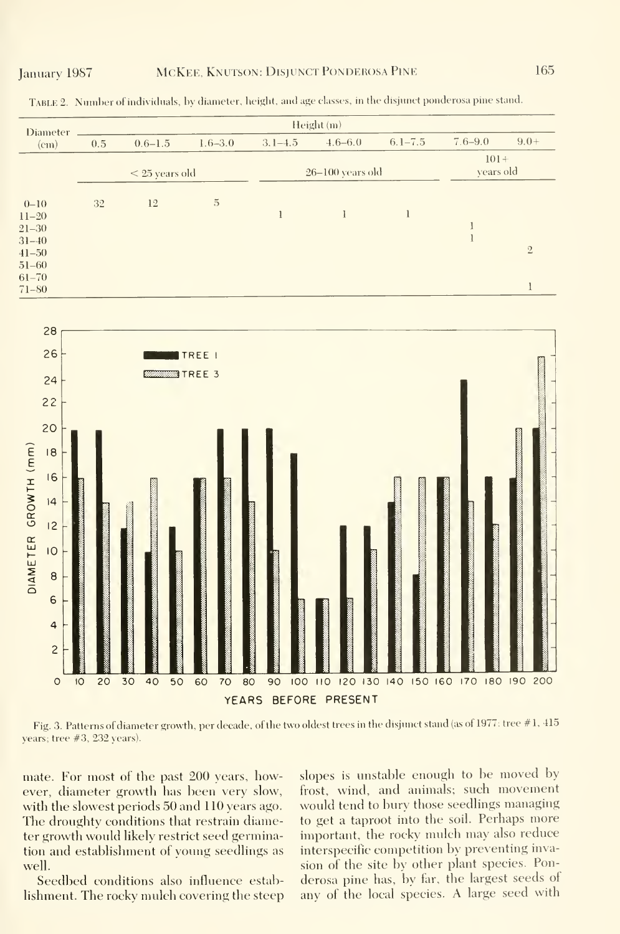|                                                                                                     | Diameter                |    | Height (m)       |             |        |        |             |    |                    |  |  |                                             |  |             |                      |                          |  |         |                         |
|-----------------------------------------------------------------------------------------------------|-------------------------|----|------------------|-------------|--------|--------|-------------|----|--------------------|--|--|---------------------------------------------|--|-------------|----------------------|--------------------------|--|---------|-------------------------|
|                                                                                                     | $\text{(cm)}$           |    | $0.5\,$          | $0.6 - 1.5$ |        |        | $1.6 - 3.0$ |    | $3.1 - 4.5$        |  |  | $4.6 - 6.0$                                 |  | $6.1 - 7.5$ |                      | $7.6 - 9.0$              |  | $9.0 +$ |                         |
|                                                                                                     |                         |    | $<$ 25 years old |             |        |        |             |    | $26-100$ years old |  |  |                                             |  |             | $101 +$<br>years old |                          |  |         |                         |
| $0 - 10$<br>$11 - 20$<br>$21 - 30$<br>$31 - 40$<br>$41 - 50$<br>$51 - 60$<br>$61 - 70$<br>$71 - 80$ |                         |    | $32\,$           | $12\,$      |        |        | $\rm 5$     |    | $\bf{l}$           |  |  | $\bf{l}$                                    |  | $\bf{l}$    |                      | $\bf{l}$<br>$\mathbf{1}$ |  |         | $\overline{2}$<br>$\!1$ |
|                                                                                                     | 28                      |    |                  |             |        |        |             |    |                    |  |  |                                             |  |             |                      |                          |  |         |                         |
| DIAMETER GROWTH (mm)                                                                                | 26                      |    |                  |             |        | TREE I |             |    |                    |  |  |                                             |  |             |                      |                          |  |         |                         |
|                                                                                                     | 24                      |    |                  |             | TREE 3 |        |             |    |                    |  |  |                                             |  |             |                      |                          |  |         |                         |
|                                                                                                     | 22                      |    |                  |             |        |        |             |    |                    |  |  |                                             |  |             |                      |                          |  |         |                         |
|                                                                                                     | 20                      |    |                  |             |        |        |             |    |                    |  |  |                                             |  |             |                      |                          |  |         |                         |
|                                                                                                     | 8                       |    |                  |             |        |        |             |    |                    |  |  |                                             |  |             |                      |                          |  |         |                         |
|                                                                                                     | $\sqrt{6}$              |    |                  |             |        |        |             |    |                    |  |  |                                             |  |             |                      |                          |  |         |                         |
|                                                                                                     | 4                       |    |                  |             |        |        |             |    |                    |  |  |                                             |  |             |                      |                          |  |         |                         |
|                                                                                                     | 2                       |    |                  |             |        |        |             |    |                    |  |  |                                             |  |             |                      |                          |  |         |                         |
|                                                                                                     |                         |    |                  |             |        |        |             |    |                    |  |  |                                             |  |             |                      |                          |  |         |                         |
|                                                                                                     | IO                      |    |                  |             |        |        |             |    |                    |  |  |                                             |  |             |                      |                          |  |         |                         |
|                                                                                                     | $\bf8$                  |    |                  |             |        |        |             |    |                    |  |  |                                             |  |             |                      |                          |  |         |                         |
|                                                                                                     | $\mathsf{6}$            |    |                  |             |        |        |             |    |                    |  |  |                                             |  |             |                      |                          |  |         |                         |
|                                                                                                     | $\overline{\mathbf{4}}$ |    |                  |             |        |        |             |    |                    |  |  |                                             |  |             |                      |                          |  |         |                         |
|                                                                                                     | $\overline{c}$          |    |                  |             |        |        |             |    |                    |  |  |                                             |  |             |                      |                          |  |         |                         |
|                                                                                                     | $\circ$                 | 10 | 20               | 30<br>40    | 50     | 60     | 70          | 80 | 90                 |  |  | 100 110 120 130 140 150 160 170 180 190 200 |  |             |                      |                          |  |         |                         |
|                                                                                                     |                         |    |                  |             |        |        |             |    |                    |  |  | YEARS BEFORE PRESENT                        |  |             |                      |                          |  |         |                         |

TABLE 2. Number of individuals, by diameter, height, and age classes, in the disjunct ponderosa pine stand.

Fig. 3. Patterns of diameter growth, per decade, of the two oldest trees in the disjunct stand (as of 1977: tree #1, 415 years; tree  $#3$ , 232 years).

mate. For most of the past 200 years, however, diameter growth has been very slow, with the slowest periods 50 and 110 years ago. The droughty conditions that restrain diameter growth would likely restrict seed germination and establishment of voung seedlings as well.

Seedbed conditions also influence establishment. The rocky mulch covering the steep

slopes is unstable enough to be moved by frost, wind, and animals; such movement would tend to bury those seedlings managing to get a taproot into the soil. Perhaps more important, the rocky mulch may also reduce interspecific competition by preventing invasion of the site by other plant species. Ponderosa pine has, by far, the largest seeds of any of the local species. A large seed with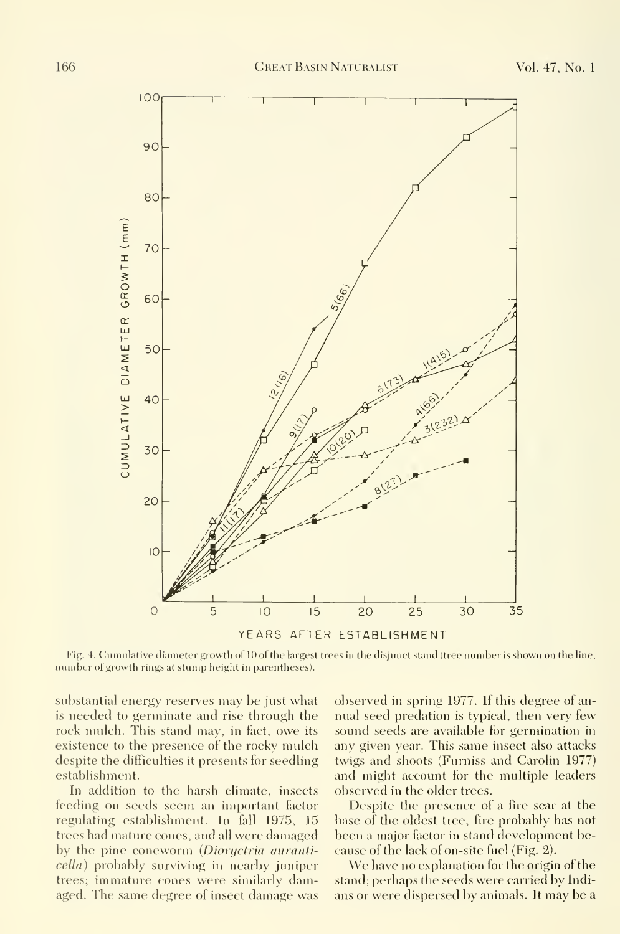

Fig. 4. Cumulative diameter growth of 10 of the largest trees in the disjunct stand (tree number is shown on the line, number of growth rings at stump height in parentheses).

substantial energy reserves may be just what is needed to germinate and rise through the rock mulch. This stand may, in fact, owe its existence to the presence of the rocky mulch despite the difficulties it presents for seedling establishment.

In addition to the harsh climate, insects feeding on seeds seem an important factor regulating establishment. In fall 1975, 15 trees had mature cones, and all were damaged by the pine coneworm (Dioryctria auranticella) probably surviving in nearby juniper trees; immature cones were similarly damaged. The same degree of insect damage was

observed in spring 1977. If this degree of an nual seed predation is typical, then very few sound seeds are available for germination in any given year. This same insect also attacks twigs and shoots (Furniss and Carolin 1977) and might account for the multiple leaders observed in the older trees.

Despite the presence of a fire scar at the base of the oldest tree, fire probably has not been a major factor in stand development be cause of the lack of on-site fuel (Fig. 2).

We have no explanation for the origin of the stand; perhaps the seeds were carried by Indi ans or were dispersed by animals. It may be a